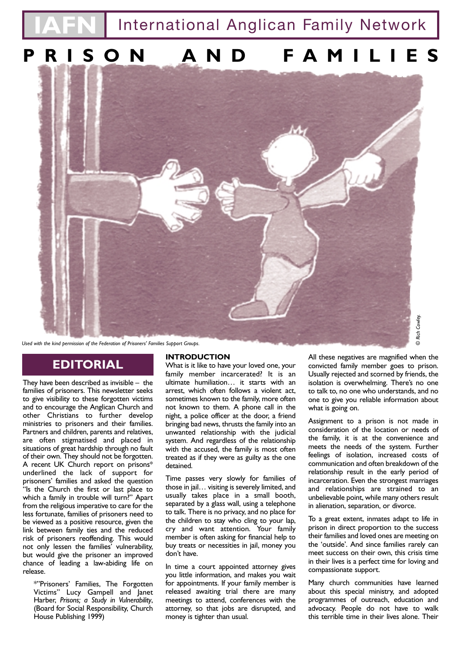**International Anglican Family Network** 

# **PRISON AND FAMILIES**



*Used with the kind permission of the Federation of Prisoners' Families Support Groups.* 

## **EDITORIAL**

They have been described as invisible – the families of prisoners. This newsletter seeks to give visibility to these forgotten victims and to encourage the Anglican Church and other Christians to further develop ministries to prisoners and their families. Partners and children, parents and relatives, are often stigmatised and placed in situations of great hardship through no fault of their own. They should not be forgotten. A recent UK Church report on prisons\* underlined the lack of support for prisoners' families and asked the question "Is the Church the first or last place to which a family in trouble will turn?" Apart from the religious imperative to care for the less fortunate, families of prisoners need to be viewed as a positive resource, given the link between family ties and the reduced risk of prisoners reoffending. This would not only lessen the families' vulnerability, but would give the prisoner an improved chance of leading a law-abiding life on release.

\*"Prisoners' Families, The Forgotten Victims" Lucy Gampell and Janet Harber, *Prisons; a Study in Vulnerability*, (Board for Social Responsibility, Church House Publishing 1999)

#### **INTRODUCTION**

What is it like to have your loved one, your family member incarcerated? It is an ultimate humiliation… it starts with an arrest, which often follows a violent act, sometimes known to the family, more often not known to them. A phone call in the night, a police officer at the door, a friend bringing bad news, thrusts the family into an unwanted relationship with the judicial system. And regardless of the relationship with the accused, the family is most often treated as if they were as guilty as the one detained.

Time passes very slowly for families of those in jail… visiting is severely limited, and usually takes place in a small booth, separated by a glass wall, using a telephone to talk. There is no privacy, and no place for the children to stay who cling to your lap, cry and want attention. Your family member is often asking for financial help to buy treats or necessities in jail, money you don't have.

In time a court appointed attorney gives you little information, and makes you wait for appointments. If your family member is released awaiting trial there are many meetings to attend, conferences with the attorney, so that jobs are disrupted, and money is tighter than usual.

All these negatives are magnified when the convicted family member goes to prison. Usually rejected and scorned by friends, the isolation is overwhelming. There's no one to talk to, no one who understands, and no one to give you reliable information about what is going on.

Assignment to a prison is not made in consideration of the location or needs of the family, it is at the convenience and meets the needs of the system. Further feelings of isolation, increased costs of communication and often breakdown of the relationship result in the early period of incarceration. Even the strongest marriages and relationships are strained to an unbelievable point, while many others result in alienation, separation, or divorce.

To a great extent, inmates adapt to life in prison in direct proportion to the success their families and loved ones are meeting on the 'outside'. And since families rarely can meet success on their own, this crisis time in their lives is a perfect time for loving and compassionate support.

Many church communities have learned about this special ministry, and adopted programmes of outreach, education and advocacy. People do not have to walk this terrible time in their lives alone. Their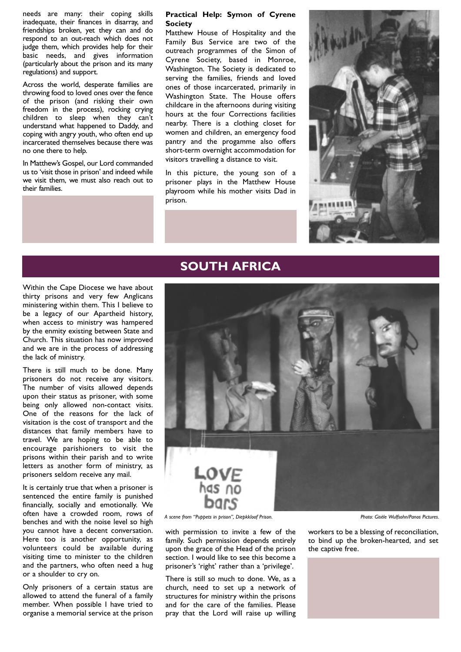needs are many: their coping skills inadequate, their finances in disarray, and friendships broken, yet they can and do respond to an out-reach which does not judge them, which provides help for their basic needs, and gives information (particularly about the prison and its many regulations) and support.

Across the world, desperate families are throwing food to loved ones over the fence of the prison (and risking their own freedom in the process), rocking crying children to sleep when they can't understand what happened to Daddy, and coping with angry youth, who often end up incarcerated themselves because there was no one there to help.

In Matthew's Gospel, our Lord commanded us to 'visit those in prison' and indeed while we visit them, we must also reach out to their families.

#### **Practical Help: Symon of Cyrene Society**

Matthew House of Hospitality and the Family Bus Service are two of the outreach programmes of the Simon of Cyrene Society, based in Monroe, Washington. The Society is dedicated to serving the families, friends and loved ones of those incarcerated, primarily in Washington State. The House offers childcare in the afternoons during visiting hours at the four Corrections facilities nearby. There is a clothing closet for women and children, an emergency food pantry and the progamme also offers short-term overnight accommodation for visitors travelling a distance to visit.

In this picture, the young son of a prisoner plays in the Matthew House playroom while his mother visits Dad in prison.



## **SOUTH AFRICA**

Within the Cape Diocese we have about thirty prisons and very few Anglicans ministering within them. This I believe to be a legacy of our Apartheid history, when access to ministry was hampered by the enmity existing between State and Church. This situation has now improved and we are in the process of addressing the lack of ministry.

There is still much to be done. Many prisoners do not receive any visitors. The number of visits allowed depends upon their status as prisoner, with some being only allowed non-contact visits. One of the reasons for the lack of visitation is the cost of transport and the distances that family members have to travel. We are hoping to be able to encourage parishioners to visit the prisons within their parish and to write letters as another form of ministry, as prisoners seldom receive any mail.

It is certainly true that when a prisoner is sentenced the entire family is punished financially, socially and emotionally. We often have a crowded room, rows of benches and with the noise level so high you cannot have a decent conversation. Here too is another opportunity, as volunteers could be available during visiting time to minister to the children and the partners, who often need a hug or a shoulder to cry on.

Only prisoners of a certain status are allowed to attend the funeral of a family member. When possible I have tried to organise a memorial service at the prison



with permission to invite a few of the family. Such permission depends entirely upon the grace of the Head of the prison section. I would like to see this become a prisoner's 'right' rather than a 'privilege'.

There is still so much to done. We, as a church, need to set up a network of structures for ministry within the prisons and for the care of the families. Please pray that the Lord will raise up willing

workers to be a blessing of reconciliation, to bind up the broken-hearted, and set the captive free.

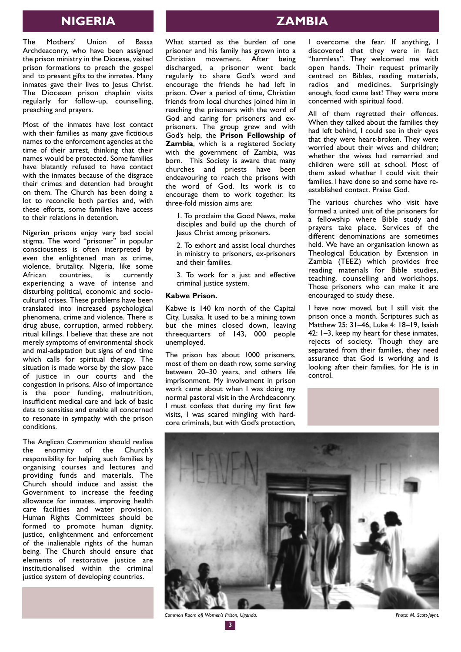## **NIGERIA ZAMBIA**

The Mothers' Union of Bassa Archdeaconry, who have been assigned the prison ministry in the Diocese, visited prison formations to preach the gospel and to present gifts to the inmates. Many inmates gave their lives to Jesus Christ. The Diocesan prison chaplain visits regularly for follow-up, counselling, preaching and prayers.

Most of the inmates have lost contact with their families as many gave fictitious names to the enforcement agencies at the time of their arrest, thinking that their names would be protected. Some families have blatantly refused to have contact with the inmates because of the disgrace their crimes and detention had brought on them. The Church has been doing a lot to reconcile both parties and, with these efforts, some families have access to their relations in detention.

Nigerian prisons enjoy very bad social stigma. The word "prisoner" in popular consciousness is often interpreted by even the enlightened man as crime, violence, brutality. Nigeria, like some African countries, is currently experiencing a wave of intense and disturbing political, economic and sociocultural crises. These problems have been translated into increased psychological phenomena, crime and violence. There is drug abuse, corruption, armed robbery, ritual killings. I believe that these are not merely symptoms of environmental shock and mal-adaptation but signs of end time which calls for spiritual therapy. The situation is made worse by the slow pace of justice in our courts and the congestion in prisons. Also of importance is the poor funding, malnutrition, insufficient medical care and lack of basic data to sensitise and enable all concerned to resonate in sympathy with the prison conditions.

The Anglican Communion should realise the enormity of the Church's responsibility for helping such families by organising courses and lectures and providing funds and materials. The Church should induce and assist the Government to increase the feeding allowance for inmates, improving health care facilities and water provision. Human Rights Committees should be formed to promote human dignity, justice, enlightenment and enforcement of the inalienable rights of the human being. The Church should ensure that elements of restorative justice are institutionalised within the criminal justice system of developing countries.

What started as the burden of one prisoner and his family has grown into a Christian movement. After being discharged, a prisoner went back regularly to share God's word and encourage the friends he had left in prison. Over a period of time, Christian friends from local churches joined him in reaching the prisoners with the word of God and caring for prisoners and exprisoners. The group grew and with God's help, the **Prison Fellowship of Zambia**, which is a registered Society with the government of Zambia, was born. This Society is aware that many churches and priests have been endeavouring to reach the prisons with the word of God. Its work is to encourage them to work together. Its three-fold mission aims are:

1. To proclaim the Good News, make disciples and build up the church of Jesus Christ among prisoners.

2. To exhort and assist local churches in ministry to prisoners, ex-prisoners and their families.

3. To work for a just and effective criminal justice system.

#### **Kabwe Prison.**

Kabwe is 140 km north of the Capital City, Lusaka. It used to be a mining town but the mines closed down, leaving threequarters of 143, 000 people unemployed.

The prison has about 1000 prisoners, most of them on death row, some serving between 20–30 years, and others life imprisonment. My involvement in prison work came about when I was doing my normal pastoral visit in the Archdeaconry. I must confess that during my first few visits, I was scared mingling with hardcore criminals, but with God's protection,

I overcome the fear. If anything, I discovered that they were in fact "harmless". They welcomed me with open hands. Their request primarily centred on Bibles, reading materials, radios and medicines. Surprisingly enough, food came last! They were more concerned with spiritual food.

All of them regretted their offences. When they talked about the families they had left behind, I could see in their eyes that they were heart-broken. They were worried about their wives and children; whether the wives had remarried and children were still at school. Most of them asked whether I could visit their families. I have done so and some have reestablished contact. Praise God.

The various churches who visit have formed a united unit of the prisoners for a fellowship where Bible study and prayers take place. Services of the different denominations are sometimes held. We have an organisation known as Theological Education by Extension in Zambia (TEEZ) which provides free reading materials for Bible studies, teaching, counselling and workshops. Those prisoners who can make it are encouraged to study these.

I have now moved, but I still visit the prison once a month. Scriptures such as Matthew 25: 31–46, Luke 4: 18–19, Isaiah 42: 1–3, keep my heart for these inmates, rejects of society. Though they are separated from their families, they need assurance that God is working and is looking after their families, for He is in control.



*Common Room ofl Women's Prison, Uganda. Photo: M. Scott-Joynt.*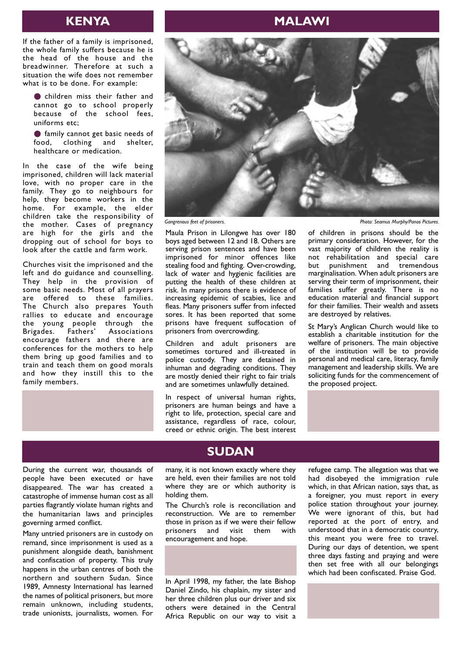If the father of a family is imprisoned, the whole family suffers because he is the head of the house and the breadwinner. Therefore at such a situation the wife does not remember what is to be done. For example:

● children miss their father and cannot go to school properly because of the school fees, uniforms etc;

● family cannot get basic needs of food, clothing and shelter, healthcare or medication.

In the case of the wife being imprisoned, children will lack material love, with no proper care in the family. They go to neighbours for help, they become workers in the home. For example, the elder children take the responsibility of the mother. Cases of pregnancy are high for the girls and the dropping out of school for boys to look after the cattle and farm work.

Churches visit the imprisoned and the left and do guidance and counselling. They help in the provision of some basic needs. Most of all prayers are offered to these families. The Church also prepares Youth rallies to educate and encourage the young people through the<br>Brigades. Fathers' Associations Brigades. Fathers' Associations encourage fathers and there are conferences for the mothers to help them bring up good families and to train and teach them on good morals and how they instill this to the family members.





Maula Prison in Lilongwe has over 180 boys aged between 12 and 18. Others are serving prison sentences and have been imprisoned for minor offences like stealing food and fighting. Over-crowding, lack of water and hygienic facilities are putting the health of these children at risk. In many prisons there is evidence of increasing epidemic of scabies, lice and fleas. Many prisoners suffer from infected sores. It has been reported that some prisons have frequent suffocation of prisoners from overcrowding.

Children and adult prisoners are sometimes tortured and ill-treated in police custody. They are detained in inhuman and degrading conditions. They are mostly denied their right to fair trials and are sometimes unlawfully detained.

In respect of universal human rights, prisoners are human beings and have a right to life, protection, special care and assistance, regardless of race, colour, creed or ethnic origin. The best interest

*Gangrenous feet of prisoners. Photo: Seamus Murphy/Panos Pictures.*

of children in prisons should be the primary consideration. However, for the vast majority of children the reality is not rehabilitation and special care<br>but punishment and tremendous but punishment and marginalisation. When adult prisoners are serving their term of imprisonment, their families suffer greatly. There is no education material and financial support for their families. Their wealth and assets are destroyed by relatives.

St Mary's Anglican Church would like to establish a charitable institution for the welfare of prisoners. The main objective of the institution will be to provide personal and medical care, literacy, family management and leadership skills. We are soliciting funds for the commencement of the proposed project.



During the current war, thousands of people have been executed or have disappeared. The war has created a catastrophe of immense human cost as all parties flagrantly violate human rights and the humanitarian laws and principles governing armed conflict.

Many untried prisoners are in custody on remand, since imprisonment is used as a punishment alongside death, banishment and confiscation of property. This truly happens in the urban centres of both the northern and southern Sudan. Since 1989, Amnesty International has learned the names of political prisoners, but more remain unknown, including students, trade unionists, journalists, women. For

## **SUDAN**

many, it is not known exactly where they are held, even their families are not told where they are or which authority is holding them.

The Church's role is reconciliation and reconstruction. We are to remember those in prison as if we were their fellow prisoners and visit them with encouragement and hope.

In April 1998, my father, the late Bishop Daniel Zindo, his chaplain, my sister and her three children plus our driver and six others were detained in the Central Africa Republic on our way to visit a refugee camp. The allegation was that we had disobeyed the immigration rule which, in that African nation, says that, as a foreigner, you must report in every police station throughout your journey. We were ignorant of this, but had reported at the port of entry, and understood that in a democratic country, this meant you were free to travel. During our days of detention, we spent three days fasting and praying and were then set free with all our belongings which had been confiscated. Praise God.

## **KENYA MALAWI**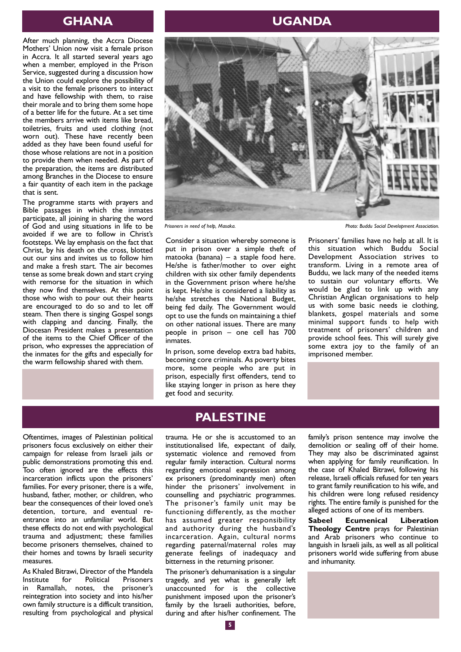After much planning, the Accra Diocese Mothers' Union now visit a female prison in Accra. It all started several years ago when a member, employed in the Prison Service, suggested during a discussion how the Union could explore the possibility of a visit to the female prisoners to interact and have fellowship with them, to raise their morale and to bring them some hope of a better life for the future. At a set time the members arrive with items like bread, toiletries, fruits and used clothing (not worn out). These have recently been added as they have been found useful for those whose relations are not in a position to provide them when needed. As part of the preparation, the items are distributed among Branches in the Diocese to ensure a fair quantity of each item in the package that is sent.

The programme starts with prayers and Bible passages in which the inmates participate, all joining in sharing the word of God and using situations in life to be avoided if we are to follow in Christ's footsteps. We lay emphasis on the fact that Christ, by his death on the cross, blotted out our sins and invites us to follow him and make a fresh start. The air becomes tense as some break down and start crying with remorse for the situation in which they now find themselves. At this point those who wish to pour out their hearts are encouraged to do so and to let off steam. Then there is singing Gospel songs with clapping and dancing. Finally, the Diocesan President makes a presentation of the items to the Chief Officer of the prison, who expresses the appreciation of the inmates for the gifts and especially for the warm fellowship shared with them.

## **GHANA UGANDA**



Consider a situation whereby someone is put in prison over a simple theft of matooka (banana) – a staple food here. He/she is father/mother to over eight children with six other family dependents in the Government prison where he/she is kept. He/she is considered a liability as he/she stretches the National Budget, being fed daily. The Government would opt to use the funds on maintaining a thief on other national issues. There are many people in prison – one cell has 700 inmates.

In prison, some develop extra bad habits, becoming core criminals. As poverty bites more, some people who are put in prison, especially first offenders, tend to like staying longer in prison as here they get food and security.

Prisoners in need of help, Masaka. **Photo: Buddu Social Development Association.** 

Prisoners' families have no help at all. It is this situation which Buddu Social Development Association strives to transform. Living in a remote area of Buddu, we lack many of the needed items to sustain our voluntary efforts. We would be glad to link up with any Christian Anglican organisations to help us with some basic needs ie clothing, blankets, gospel materials and some minimal support funds to help with treatment of prisoners' children and provide school fees. This will surely give some extra joy to the family of an imprisoned member.

Oftentimes, images of Palestinian political prisoners focus exclusively on either their campaign for release from Israeli jails or public demonstrations promoting this end. Too often ignored are the effects this incarceration inflicts upon the prisoners' families. For every prisoner, there is a wife, husband, father, mother, or children, who bear the consequences of their loved one's detention, torture, and eventual reentrance into an unfamiliar world. But these effects do not end with psychological trauma and adjustment; these families become prisoners themselves, chained to their homes and towns by Israeli security measures.

As Khaled Bitrawi, Director of the Mandela<br>Institute for Political Prisoners **Prisoners** in Ramallah, notes, the prisoner's reintegration into society and into his/her own family structure is a difficult transition, resulting from psychological and physical

## **PALESTINE**

trauma. He or she is accustomed to an institutionalised life, expectant of daily, systematic violence and removed from regular family interaction. Cultural norms regarding emotional expression among ex prisoners (predominantly men) often hinder the prisoners' involvement in counselling and psychiatric programmes. The prisoner's family unit may be functioning differently, as the mother has assumed greater responsibility and authority during the husband's incarceration. Again, cultural norms regarding paternal/maternal roles may generate feelings of inadequacy and bitterness in the returning prisoner.

The prisoner's dehumanisation is a singular tragedy, and yet what is generally left unaccounted for is the collective punishment imposed upon the prisoner's family by the Israeli authorities, before, during and after his/her confinement. The

family's prison sentence may involve the demolition or sealing off of their home. They may also be discriminated against when applying for family reunification. In the case of Khaled Bitrawi, following his release, Israeli officials refused for ten years to grant family reunification to his wife, and his children were long refused residency rights. The entire family is punished for the alleged actions of one of its members.

**Sabeel Ecumenical Liberation Theology Centre** prays for Palestinian and Arab prisoners who continue to languish in Israeli jails, as well as all political prisoners world wide suffering from abuse and inhumanity.

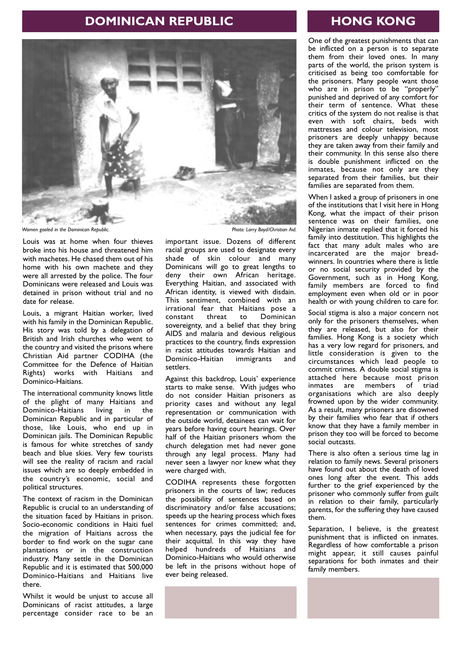## **DOMINICAN REPUBLIC**



Louis was at home when four thieves broke into his house and threatened him with machetes. He chased them out of his home with his own machete and they were all arrested by the police. The four Dominicans were released and Louis was detained in prison without trial and no date for release.

Louis, a migrant Haitian worker, lived with his family in the Dominican Republic. His story was told by a delegation of British and Irish churches who went to the country and visited the prisons where Christian Aid partner CODIHA (the Committee for the Defence of Haitian Rights) works with Haitians and Dominico-Haitians.

The international community knows little of the plight of many Haitians and Dominico-Haitians living in the Dominican Republic and in particular of those, like Louis, who end up in Dominican jails. The Dominican Republic is famous for white stretches of sandy beach and blue skies. Very few tourists will see the reality of racism and racial issues which are so deeply embedded in the country's economic, social and political structures.

The context of racism in the Dominican Republic is crucial to an understanding of the situation faced by Haitians in prison. Socio-economic conditions in Haiti fuel the migration of Haitians across the border to find work on the sugar cane plantations or in the construction industry. Many settle in the Dominican Republic and it is estimated that 500,000 Dominico-Haitians and Haitians live there.

Whilst it would be unjust to accuse all Dominicans of racist attitudes, a large percentage consider race to be an

important issue. Dozens of different racial groups are used to designate every shade of skin colour and many Dominicans will go to great lengths to deny their own African heritage. Everything Haitian, and associated with African identity, is viewed with disdain. This sentiment, combined with an irrational fear that Haitians pose a Dominican sovereignty, and a belief that they bring AIDS and malaria and devious religious practices to the country, finds expression in racist attitudes towards Haitian and<br>Dominico-Haitian immigrants and Dominico-Haitian settlers.

Against this backdrop, Louis' experience starts to make sense. With judges who do not consider Haitian prisoners as priority cases and without any legal representation or communication with the outside world, detainees can wait for years before having court hearings. Over half of the Haitian prisoners whom the church delegation met had never gone through any legal process. Many had never seen a lawyer nor knew what they were charged with.

CODIHA represents these forgotten prisoners in the courts of law; reduces the possibility of sentences based on discriminatory and/or false accusations; speeds up the hearing process which fixes sentences for crimes committed; and, when necessary, pays the judicial fee for their acquittal. In this way they have helped hundreds of Haitians and Dominico-Haitians who would otherwise be left in the prisons without hope of ever being released.

## **HONG KONG**

One of the greatest punishments that can be inflicted on a person is to separate them from their loved ones. In many parts of the world, the prison system is criticised as being too comfortable for the prisoners. Many people want those who are in prison to be "properly" punished and deprived of any comfort for their term of sentence. What these critics of the system do not realise is that even with soft chairs, beds with mattresses and colour television, most prisoners are deeply unhappy because they are taken away from their family and their community. In this sense also there is double punishment inflicted on the inmates, because not only are they separated from their families, but their families are separated from them.

When I asked a group of prisoners in one of the institutions that I visit here in Hong Kong, what the impact of their prison sentence was on their families, one Nigerian inmate replied that it forced his family into destitution. This highlights the fact that many adult males who are incarcerated are the major breadwinners. In countries where there is little or no social security provided by the Government, such as in Hong Kong, family members are forced to find employment even when old or in poor health or with young children to care for.

Social stigma is also a major concern not only for the prisoners themselves, when they are released, but also for their families. Hong Kong is a society which has a very low regard for prisoners, and little consideration is given to the circumstances which lead people to commit crimes. A double social stigma is attached here because most prison inmates are members of triad organisations which are also deeply frowned upon by the wider community. As a result, many prisoners are disowned by their families who fear that if others know that they have a family member in prison they too will be forced to become social outcasts.

There is also often a serious time lag in relation to family news. Several prisoners have found out about the death of loved ones long after the event. This adds further to the grief experienced by the prisoner who commonly suffer from guilt in relation to their family, particularly parents, for the suffering they have caused them.

Separation, I believe, is the greatest punishment that is inflicted on inmates. Regardless of how comfortable a prison might appear, it still causes painful separations for both inmates and their family members.

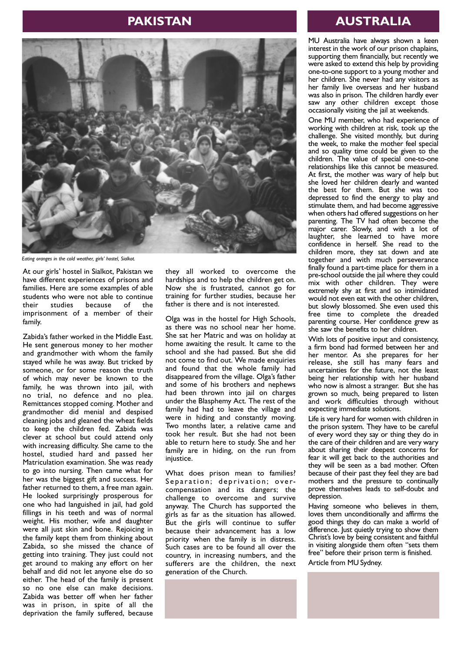## **PAKISTAN**



*Eating oranges in the cold weather, girls' hostel, Sialkot.*

At our girls' hostel in Sialkot, Pakistan we have different experiences of prisons and families. Here are some examples of able students who were not able to continue<br>their studies because of the because of the imprisonment of a member of their family.

Zabida's father worked in the Middle East. He sent generous money to her mother and grandmother with whom the family stayed while he was away. But tricked by someone, or for some reason the truth of which may never be known to the family, he was thrown into jail, with no trial, no defence and no plea. Remittances stopped coming. Mother and grandmother did menial and despised cleaning jobs and gleaned the wheat fields to keep the children fed. Zabida was clever at school but could attend only with increasing difficulty. She came to the hostel, studied hard and passed her Matriculation examination. She was ready to go into nursing. Then came what for her was the biggest gift and success. Her father returned to them, a free man again. He looked surprisingly prosperous for one who had languished in jail, had gold fillings in his teeth and was of normal weight. His mother, wife and daughter were all just skin and bone. Rejoicing in the family kept them from thinking about Zabida, so she missed the chance of getting into training. They just could not get around to making any effort on her behalf and did not let anyone else do so either. The head of the family is present so no one else can make decisions. Zabida was better off when her father was in prison, in spite of all the deprivation the family suffered, because

they all worked to overcome the hardships and to help the children get on. Now she is frustrated, cannot go for training for further studies, because her father is there and is not interested.

Olga was in the hostel for High Schools, as there was no school near her home. She sat her Matric and was on holiday at home awaiting the result. It came to the school and she had passed. But she did not come to find out. We made enquiries and found that the whole family had disappeared from the village. Olga's father and some of his brothers and nephews had been thrown into jail on charges under the Blasphemy Act. The rest of the family had had to leave the village and were in hiding and constantly moving. Two months later, a relative came and took her result. But she had not been able to return here to study. She and her family are in hiding, on the run from iniustice.

What does prison mean to families? Separation; deprivation; overcompensation and its dangers; the challenge to overcome and survive anyway. The Church has supported the girls as far as the situation has allowed. But the girls will continue to suffer because their advancement has a low priority when the family is in distress. Such cases are to be found all over the country, in increasing numbers, and the sufferers are the children, the next generation of the Church.

### **AUSTRALIA**

MU Australia have always shown a keen interest in the work of our prison chaplains, supporting them financially, but recently we were asked to extend this help by providing one-to-one support to a young mother and her children. She never had any visitors as her family live overseas and her husband was also in prison. The children hardly ever saw any other children except those occasionally visiting the jail at weekends.

One MU member, who had experience of working with children at risk, took up the challenge. She visited monthly, but during the week, to make the mother feel special and so quality time could be given to the children. The value of special one-to-one relationships like this cannot be measured. At first, the mother was wary of help but she loved her children dearly and wanted the best for them. But she was too depressed to find the energy to play and stimulate them, and had become aggressive when others had offered suggestions on her parenting. The TV had often become the major carer. Slowly, and with a lot of laughter, she learned to have more confidence in herself. She read to the children more, they sat down and ate together and with much perseverance finally found a part-time place for them in a pre-school outside the jail where they could mix with other children. They were extremely shy at first and so intimidated would not even eat with the other children, but slowly blossomed. She even used this free time to complete the dreaded parenting course. Her confidence grew as she saw the benefits to her children.

With lots of positive input and consistency, a firm bond had formed between her and her mentor. As she prepares for her release, she still has many fears and uncertainties for the future, not the least being her relationship with her husband who now is almost a stranger. But she has grown so much, being prepared to listen and work difficulties through without expecting immediate solutions.

Life is very hard for women with children in the prison system. They have to be careful of every word they say or thing they do in the care of their children and are very wary about sharing their deepest concerns for fear it will get back to the authorities and they will be seen as a bad mother. Often because of their past they feel they are bad mothers and the pressure to continually prove themselves leads to self-doubt and .<br>depression.

Having someone who believes in them, loves them unconditionally and affirms the good things they do can make a world of difference. Just quietly trying to show them Christ's love by being consistent and faithful in visiting alongside them often "sets them free" before their prison term is finished.

Article from MU Sydney.

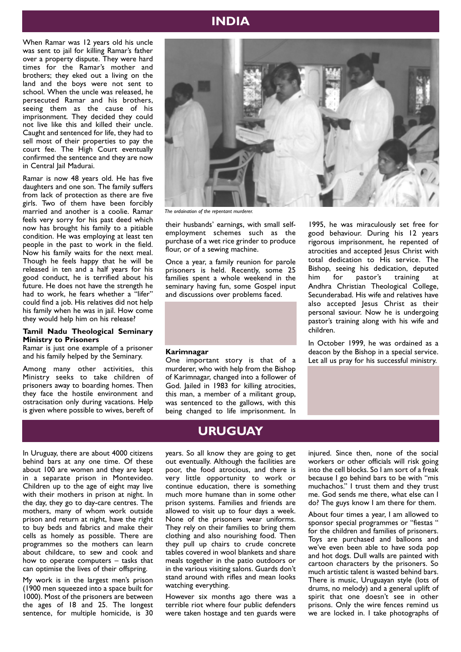## **INDIA**

When Ramar was 12 years old his uncle was sent to jail for killing Ramar's father over a property dispute. They were hard times for the Ramar's mother and brothers; they eked out a living on the land and the boys were not sent to school. When the uncle was released, he persecuted Ramar and his brothers, seeing them as the cause of his imprisonment. They decided they could not live like this and killed their uncle. Caught and sentenced for life, they had to sell most of their properties to pay the court fee. The High Court eventually confirmed the sentence and they are now in Central Iail Madurai.

Ramar is now 48 years old. He has five daughters and one son. The family suffers from lack of protection as there are five girls. Two of them have been forcibly married and another is a coolie. Ramar feels very sorry for his past deed which now has brought his family to a pitiable condition. He was employing at least ten people in the past to work in the field. Now his family waits for the next meal. Though he feels happy that he will be released in ten and a half years for his good conduct, he is terrified about his future. He does not have the strength he had to work, he fears whether a "lifer" could find a job. His relatives did not help his family when he was in jail. How come they would help him on his release?

#### **Tamil Nadu Theological Seminary Ministry to Prisoners**

Ramar is just one example of a prisoner and his family helped by the Seminary.

Among many other activities, this Ministry seeks to take children of prisoners away to boarding homes. Then they face the hostile environment and ostracisation only during vacations. Help is given where possible to wives, bereft of



children.

*The ordaination of the repentant murderer.*

their husbands' earnings, with small selfemployment schemes such as the purchase of a wet rice grinder to produce flour, or of a sewing machine.

Once a year, a family reunion for parole prisoners is held. Recently, some 25 families spent a whole weekend in the seminary having fun, some Gospel input and discussions over problems faced.

#### **Karimnagar**

One important story is that of a murderer, who with help from the Bishop of Karimnagar, changed into a follower of God. Jailed in 1983 for killing atrocities, this man, a member of a militant group, was sentenced to the gallows, with this being changed to life imprisonment. In

## **URUGUAY**

In Uruguay, there are about 4000 citizens behind bars at any one time. Of these about 100 are women and they are kept in a separate prison in Montevideo. Children up to the age of eight may live with their mothers in prison at night. In the day, they go to day-care centres. The mothers, many of whom work outside prison and return at night, have the right to buy beds and fabrics and make their cells as homely as possible. There are programmes so the mothers can learn about childcare, to sew and cook and how to operate computers – tasks that can optimise the lives of their offspring.

My work is in the largest men's prison (1900 men squeezed into a space built for 1000). Most of the prisoners are between the ages of 18 and 25. The longest sentence, for multiple homicide, is 30

years. So all know they are going to get out eventually. Although the facilities are poor, the food atrocious, and there is very little opportunity to work or continue education, there is something much more humane than in some other prison systems. Families and friends are allowed to visit up to four days a week. None of the prisoners wear uniforms. They rely on their families to bring them clothing and also nourishing food. Then they pull up chairs to crude concrete tables covered in wool blankets and share meals together in the patio outdoors or in the various visiting salons. Guards don't stand around with rifles and mean looks watching everything.

However six months ago there was a terrible riot where four public defenders were taken hostage and ten guards were injured. Since then, none of the social workers or other officials will risk going into the cell blocks. So I am sort of a freak because I go behind bars to be with "mis muchachos." I trust them and they trust me. God sends me there, what else can I do? The guys know I am there for them.

1995, he was miraculously set free for good behaviour. During his 12 years rigorous imprisonment, he repented of atrocities and accepted Jesus Christ with total dedication to His service. The Bishop, seeing his dedication, deputed him for pastor's training at Andhra Christian Theological College, Secunderabad. His wife and relatives have also accepted Jesus Christ as their personal saviour. Now he is undergoing pastor's training along with his wife and

In October 1999, he was ordained as a deacon by the Bishop in a special service. Let all us pray for his successful ministry.

About four times a year, I am allowed to sponsor special programmes or "fiestas " for the children and families of prisoners. Toys are purchased and balloons and we've even been able to have soda pop and hot dogs. Dull walls are painted with cartoon characters by the prisoners. So much artistic talent is wasted behind bars. There is music, Uruguayan style (lots of drums, no melody) and a general uplift of spirit that one doesn't see in other prisons. Only the wire fences remind us we are locked in. I take photographs of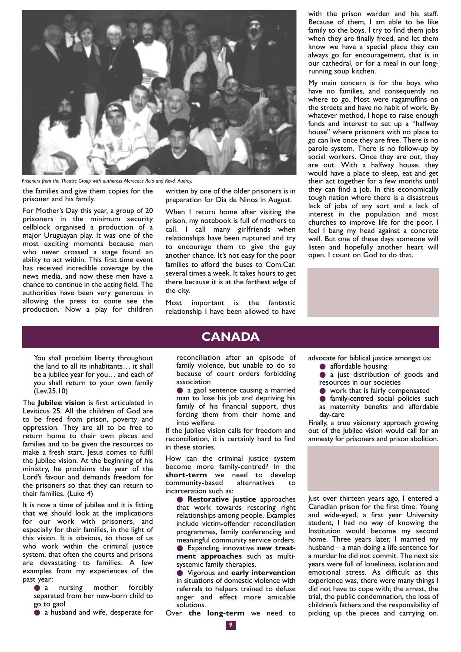

*Prisoners from the Theatre Group with authoress Mercedes Reia and Revd. Audrey.*

the families and give them copies for the prisoner and his family.

For Mother's Day this year, a group of 20 prisoners in the minimum security cellblock organised a production of a major Uruguayan play. It was one of the most exciting moments because men who never crossed a stage found an ability to act within. This first time event has received incredible coverage by the news media, and now these men have a chance to continue in the acting field. The authorities have been very generous in allowing the press to come see the production. Now a play for children

written by one of the older prisoners is in preparation for Dia de Ninos in August.

When I return home after visiting the prison, my notebook is full of mothers to call. I call many girlfriends when relationships have been ruptured and try to encourage them to give the guy another chance. It's not easy for the poor families to afford the buses to Com.Car. several times a week. It takes hours to get there because it is at the farthest edge of the city.

Most important is the fantastic relationship I have been allowed to have

## **CANADA**

reconciliation after an episode of family violence, but unable to do so because of court orders forbidding association

● a gaol sentence causing a married man to lose his job and depriving his family of his financial support, thus forcing them from their home and into welfare.

If the Jubilee vision calls for freedom and reconciliation, it is certainly hard to find in these stories.

How can the criminal justice system become more family-centred? In the **short-term** we need to develop community-based alternatives to community-based alternatives to incarceration such as:

● **Restorative justice** approaches that work towards restoring right relationships among people. Examples include victim-offender reconciliation programmes, family conferencing and meaningful community service orders.

● Expanding innovative new treat**ment approaches** such as multisystemic family therapies.

● Vigorous and **early intervention** in situations of domestic violence with referrals to helpers trained to defuse anger and effect more amicable solutions.

Over **the long-term** we need to

with the prison warden and his staff. Because of them, I am able to be like family to the boys. I try to find them jobs when they are finally freed, and let them know we have a special place they can always go for encouragement, that is in our cathedral, or for a meal in our longrunning soup kitchen.

My main concern is for the boys who have no families, and consequently no where to go. Most were ragamuffins on the streets and have no habit of work. By whatever method, I hope to raise enough funds and interest to set up a "halfway house" where prisoners with no place to go can live once they are free. There is no parole system. There is no follow-up by social workers. Once they are out, they are out. With a halfway house, they would have a place to sleep, eat and get their act together for a few months until they can find a job. In this economically tough nation where there is a disastrous lack of jobs of any sort and a lack of interest in the population and most churches to improve life for the poor, I feel I bang my head against a concrete wall. But one of these days someone will listen and hopefully another heart will open. I count on God to do that.



advocate for biblical justice amongst us:

- affordable housing
- a just distribution of goods and resources in our societies
- work that is fairly compensated
- family-centred social policies such
- as maternity benefits and affordable day-care

Finally, a true visionary approach growing out of the Jubilee vision would call for an amnesty for prisoners and prison abolition.



Just over thirteen years ago, I entered a Canadian prison for the first time. Young and wide-eyed, a first year University student, I had no way of knowing the Institution would become my second home. Three years later, I married my husband – a man doing a life sentence for a murder he did not commit. The next six years were full of loneliness, isolation and emotional stress. As difficult as this experience was, there were many things I did not have to cope with; the arrest, the trial, the public condemnation, the loss of children's fathers and the responsibility of picking up the pieces and carrying on.

You shall proclaim liberty throughout the land to all its inhabitants… it shall be a jubilee year for you… and each of you shall return to your own family (Lev.25.10)

The **Jubilee vision** is first articulated in Leviticus 25. All the children of God are to be freed from prison, poverty and oppression. They are all to be free to return home to their own places and families and to be given the resources to make a fresh start. Jesus comes to fulfil the Jubilee vision. At the beginning of his ministry, he proclaims the year of the Lord's favour and demands freedom for the prisoners so that they can return to their families. (Luke 4)

It is now a time of jubilee and it is fitting that we should look at the implications for our work with prisoners, and especially for their families, in the light of this vision. It is obvious, to those of us who work within the criminal justice system, that often the courts and prisons are devastating to families. A few examples from my experiences of the past year:

 $\bullet$  a nursing mother forcibly separated from her new-born child to go to gaol

● a husband and wife, desperate for

**9**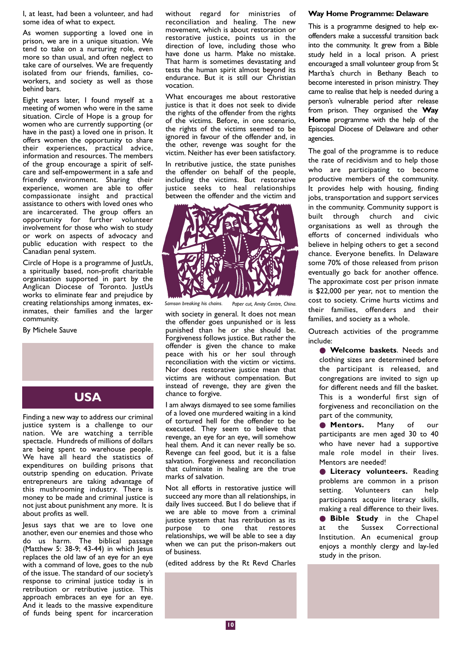I, at least, had been a volunteer, and had some idea of what to expect.

As women supporting a loved one in prison, we are in a unique situation. We tend to take on a nurturing role, even more so than usual, and often neglect to take care of ourselves. We are frequently isolated from our friends, families, coworkers, and society as well as those behind bars.

Eight years later, I found myself at a meeting of women who were in the same situation. Circle of Hope is a group for women who are currently supporting (or have in the past) a loved one in prison. It offers women the opportunity to share their experiences, practical advice, information and resources. The members of the group encourage a spirit of selfcare and self-empowerment in a safe and friendly environment. Sharing their experience, women are able to offer compassionate insight and practical assistance to others with loved ones who are incarcerated. The group offers an opportunity for further volunteer involvement for those who wish to study or work on aspects of advocacy and public education with respect to the Canadian penal system.

Circle of Hope is a programme of lustUs, a spiritually based, non-profit charitable organisation supported in part by the Anglican Diocese of Toronto. JustUs works to eliminate fear and prejudice by creating relationships among inmates, exinmates, their families and the larger community.

By Michele Sauve



Finding a new way to address our criminal justice system is a challenge to our nation. We are watching a terrible spectacle. Hundreds of millions of dollars are being spent to warehouse people. We have all heard the statistics of expenditures on building prisons that outstrip spending on education. Private entrepreneurs are taking advantage of this mushrooming industry. There is money to be made and criminal justice is not just about punishment any more. It is about profits as well.

Jesus says that we are to love one another, even our enemies and those who do us harm. The biblical passage (Matthew 5: 38-9; 43-44) in which Jesus replaces the old law of an eye for an eye with a command of love, goes to the nub of the issue. The standard of our society's response to criminal justice today is in retribution or retributive justice. This approach embraces an eye for an eye. And it leads to the massive expenditure of funds being spent for incarceration without regard for ministries of reconciliation and healing. The new movement, which is about restoration or restorative justice, points us in the direction of love, including those who have done us harm. Make no mistake. That harm is sometimes devastating and tests the human spirit almost beyond its endurance. But it is still our Christian vocation.

What encourages me about restorative justice is that it does not seek to divide the rights of the offender from the rights of the victims. Before, in one scenario, the rights of the victims seemed to be ignored in favour of the offender and, in the other, revenge was sought for the victim. Neither has ever been satisfactory.

In retributive justice, the state punishes the offender on behalf of the people, including the victims. But restorative justice seeks to heal relationships between the offender and the victim and



*Samson breaking his chains. Paper cut, Amity Centre, China.*

with society in general. It does not mean the offender goes unpunished or is less punished than he or she should be. Forgiveness follows justice. But rather the offender is given the chance to make peace with his or her soul through reconciliation with the victim or victims. Nor does restorative justice mean that victims are without compensation. But instead of revenge, they are given the chance to forgive.

I am always dismayed to see some families of a loved one murdered waiting in a kind of tortured hell for the offender to be executed. They seem to believe that revenge, an eye for an eye, will somehow heal them. And it can never really be so. Revenge can feel good, but it is a false salvation. Forgiveness and reconciliation that culminate in healing are the true marks of salvation.

Not all efforts in restorative justice will succeed any more than all relationships, in daily lives succeed. But I do believe that if we are able to move from a criminal justice system that has retribution as its purpose to one that restores relationships, we will be able to see a day when we can put the prison-makers out of business.

(edited address by the Rt Revd Charles

#### **Way Home Programme: Delaware**

This is a programme designed to help exoffenders make a successful transition back into the community. It grew from a Bible study held in a local prison. A priest encouraged a small volunteer group from St Martha's church in Bethany Beach to become interested in prison ministry. They came to realise that help is needed during a person's vulnerable period after release from prison. They organised the **Way Home** programme with the help of the Episcopal Diocese of Delaware and other agencies.

The goal of the programme is to reduce the rate of recidivism and to help those who are participating to become productive members of the community. It provides help with housing, finding jobs, transportation and support services in the community. Community support is built through church and civic organisations as well as through the efforts of concerned individuals who believe in helping others to get a second chance. Everyone benefits. In Delaware some 70% of those released from prison eventually go back for another offence. The approximate cost per prison inmate is \$22,000 per year, not to mention the cost to society. Crime hurts victims and their families, offenders and their families, and society as a whole.

Outreach activities of the programme include:

● **Welcome baskets**. Needs and clothing sizes are determined before the participant is released, and congregations are invited to sign up for different needs and fill the basket. This is a wonderful first sign of forgiveness and reconciliation on the part of the community,

● **Mentors.** Many of our participants are men aged 30 to 40 who have never had a supportive male role model in their lives. Mentors are needed!

● **Literacy volunteers.** Reading problems are common in a prison setting. Volunteers can help participants acquire literacy skills, making a real difference to their lives. ● **Bible Study** in the Chapel at the Sussex Correctional Institution. An ecumenical group enjoys a monthly clergy and lay-led study in the prison.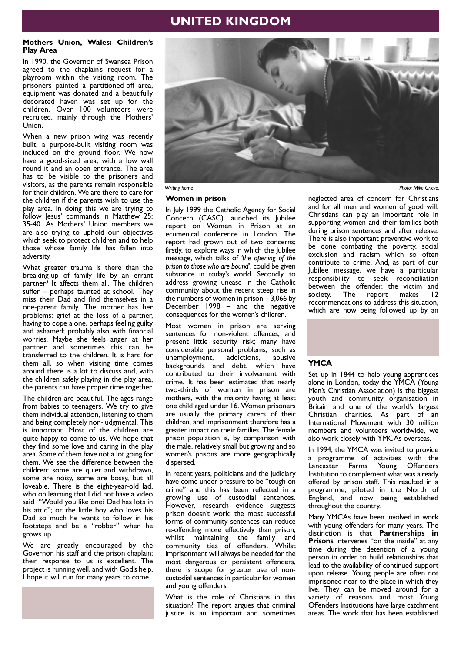## **UNITED KINGDOM**

#### **Mothers Union, Wales: Children's Play Area**

In 1990, the Governor of Swansea Prison agreed to the chaplain's request for a playroom within the visiting room. The prisoners painted a partitioned-off area, equipment was donated and a beautifully decorated haven was set up for the children. Over 100 volunteers were recruited, mainly through the Mothers' Union.

When a new prison wing was recently built, a purpose-built visiting room was included on the ground floor. We now have a good-sized area, with a low wall round it and an open entrance. The area has to be visible to the prisoners and visitors, as the parents remain responsible for their children. We are there to care for the children if the parents wish to use the play area. In doing this we are trying to follow Jesus' commands in Matthew 25: 35-40. As Mothers' Union members we are also trying to uphold our objectives which seek to protect children and to help those whose family life has fallen into adversity.

What greater trauma is there than the breaking-up of family life by an errant partner? It affects them all. The children suffer – perhaps taunted at school. They miss their Dad and find themselves in a one-parent family. The mother has her problems: grief at the loss of a partner, having to cope alone, perhaps feeling guilty and ashamed; probably also with financial worries. Maybe she feels anger at her partner and sometimes this can be transferred to the children. It is hard for them all, so when visiting time comes around there is a lot to discuss and, with the children safely playing in the play area, the parents can have proper time together.

The children are beautiful. The ages range from babies to teenagers. We try to give them individual attention, listening to them and being completely non-judgmental. This is important. Most of the children are quite happy to come to us. We hope that they find some love and caring in the play area. Some of them have not a lot going for them. We see the difference between the children: some are quiet and withdrawn, some are noisy, some are bossy, but all loveable. There is the eight-year-old lad, who on learning that I did not have a video said "Would you like one? Dad has lots in his attic"; or the little boy who loves his Dad so much he wants to follow in his footsteps and be a "robber" when he grows up.

We are greatly encouraged by the Governor, his staff and the prison chaplain; their response to us is excellent. The project is running well, and with God's help, I hope it will run for many years to come.



*Writing home Photo: Mike Grieve.*

#### **Women in prison**

In July 1999 the Catholic Agency for Social Concern (CASC) launched its Jubilee report on Women in Prison at an ecumenical conference in London. The report had grown out of two concerns; firstly, to explore ways in which the Jubilee message, which talks of *'the opening of the prison to those who are bound'*, could be given substance in today's world. Secondly, to address growing unease in the Catholic community about the recent steep rise in the numbers of women in prison – 3,066 by December 1998 – and the negative consequences for the women's children.

Most women in prison are serving sentences for non-violent offences, and present little security risk; many have considerable personal problems, such as unemployment, addictions, abusive backgrounds and debt, which have contributed to their involvement with crime. It has been estimated that nearly two-thirds of women in prison are mothers, with the majority having at least one child aged under 16. Women prisoners are usually the primary carers of their children, and imprisonment therefore has a greater impact on their families. The female prison population is, by comparison with the male, relatively small but growing and so women's prisons are more geographically dispersed.

In recent years, politicians and the judiciary have come under pressure to be "tough on crime" and this has been reflected in a growing use of custodial sentences. However, research evidence suggests prison doesn't work: the most successful forms of community sentences can reduce re-offending more effectively than prison, whilst maintaining the family and community ties of offenders. Whilst imprisonment will always be needed for the most dangerous or persistent offenders, there is scope for greater use of noncustodial sentences in particular for women and young offenders.

What is the role of Christians in this situation? The report argues that criminal justice is an important and sometimes

neglected area of concern for Christians and for all men and women of good will. Christians can play an important role in supporting women and their families both during prison sentences and after release. There is also important preventive work to be done combating the poverty, social exclusion and racism which so often contribute to crime. And, as part of our Jubilee message, we have a particular responsibility to seek reconciliation between the offender, the victim and society. The report makes 12 recommendations to address this situation, which are now being followed up by an



#### **YMCA**

Set up in 1844 to help young apprentices alone in London, today the YMCA (Young Men's Christian Association) is the biggest youth and community organisation in Britain and one of the world's largest Christian charities. As part of an International Movement with 30 million members and volunteers worldwide, we also work closely with YMCAs overseas.

In 1994, the YMCA was invited to provide a programme of activities with the<br>Lancaster Farms Young Offenders Lancaster Farms Young Institution to complement what was already offered by prison staff. This resulted in a programme, piloted in the North of England, and now being established throughout the country.

Many YMCAs have been involved in work with young offenders for many years. The distinction is that **Partnerships in Prisons** intervenes "on the inside" at any time during the detention of a young person in order to build relationships that lead to the availability of continued support upon release. Young people are often not imprisoned near to the place in which they live. They can be moved around for a variety of reasons and most Young Offenders Institutions have large catchment areas. The work that has been established